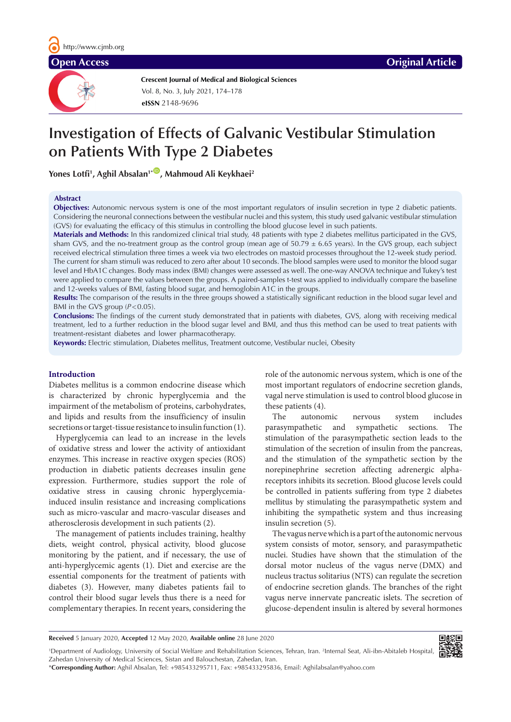**Crescent Journal of Medical and Biological Sciences eISSN** 2148-9696 Vol. 8, No. 3, July 2021, 174–178

# **Investigation of Effects of Galvanic Vestibular Stimulation on Patients With Type 2 Diabetes**

Yones Lotfi<sup>1</sup>, Aghil Absalan<sup>1</sup>\*®, Mahmoud Ali Keykhaei<sup>2</sup>

# **Abstract**

**Objectives:** Autonomic nervous system is one of the most important regulators of insulin secretion in type 2 diabetic patients. Considering the neuronal connections between the vestibular nuclei and this system, this study used galvanic vestibular stimulation (GVS) for evaluating the efficacy of this stimulus in controlling the blood glucose level in such patients.

**Materials and Methods:** In this randomized clinical trial study, 48 patients with type 2 diabetes mellitus participated in the GVS, sham GVS, and the no-treatment group as the control group (mean age of  $50.79 \pm 6.65$  years). In the GVS group, each subject received electrical stimulation three times a week via two electrodes on mastoid processes throughout the 12-week study period. The current for sham stimuli was reduced to zero after about 10 seconds. The blood samples were used to monitor the blood sugar level and HbA1C changes. Body mass index (BMI) changes were assessed as well. The one-way ANOVA technique and Tukey's test were applied to compare the values between the groups. A paired-samples t-test was applied to individually compare the baseline and 12-weeks values of BMI, fasting blood sugar, and hemoglobin A1C in the groups.

**Results:** The comparison of the results in the three groups showed a statistically significant reduction in the blood sugar level and BMI in the GVS group ( $P < 0.05$ ).

**Conclusions:** The findings of the current study demonstrated that in patients with diabetes, GVS, along with receiving medical treatment, led to a further reduction in the blood sugar level and BMI, and thus this method can be used to treat patients with treatment-resistant diabetes and lower pharmacotherapy.

**Keywords:** Electric stimulation, Diabetes mellitus, Treatment outcome, Vestibular nuclei, Obesity

# **Introduction**

Diabetes mellitus is a common endocrine disease which is characterized by chronic hyperglycemia and the impairment of the metabolism of proteins, carbohydrates, and lipids and results from the insufficiency of insulin secretions or target-tissue resistance to insulin function (1).

Hyperglycemia can lead to an increase in the levels of oxidative stress and lower the activity of antioxidant enzymes. This increase in reactive oxygen species (ROS) production in diabetic patients decreases insulin gene expression. Furthermore, studies support the role of oxidative stress in causing chronic hyperglycemiainduced insulin resistance and increasing complications such as micro-vascular and macro-vascular diseases and atherosclerosis development in such patients (2).

The management of patients includes training, healthy diets, weight control, physical activity, blood glucose monitoring by the patient, and if necessary, the use of anti-hyperglycemic agents (1). Diet and exercise are the essential components for the treatment of patients with diabetes (3). However, many diabetes patients fail to control their blood sugar levels thus there is a need for complementary therapies. In recent years, considering the role of the autonomic nervous system, which is one of the most important regulators of endocrine secretion glands, vagal nerve stimulation is used to control blood glucose in these patients (4).

The autonomic nervous system includes parasympathetic and sympathetic sections. The stimulation of the parasympathetic section leads to the stimulation of the secretion of insulin from the pancreas, and the stimulation of the sympathetic section by the norepinephrine secretion affecting adrenergic alphareceptors inhibits its secretion. Blood glucose levels could be controlled in patients suffering from type 2 diabetes mellitus by stimulating the parasympathetic system and inhibiting the sympathetic system and thus increasing insulin secretion (5).

The vagus nerve which is a part of the autonomic nervous system consists of motor, sensory, and parasympathetic nuclei. Studies have shown that the stimulation of the dorsal motor nucleus of the vagus nerve (DMX) and nucleus tractus solitarius (NTS) can regulate the secretion of endocrine secretion glands. The branches of the right vagus nerve innervate pancreatic islets. The secretion of glucose-dependent insulin is altered by several hormones

**Received** 5 January 2020, **Accepted** 12 May 2020, **Available online** 28 June 2020



\***Corresponding Author:** Aghil Absalan, Tel: +985433295711, Fax: +985433295836, Email: Aghilabsalan@yahoo.com

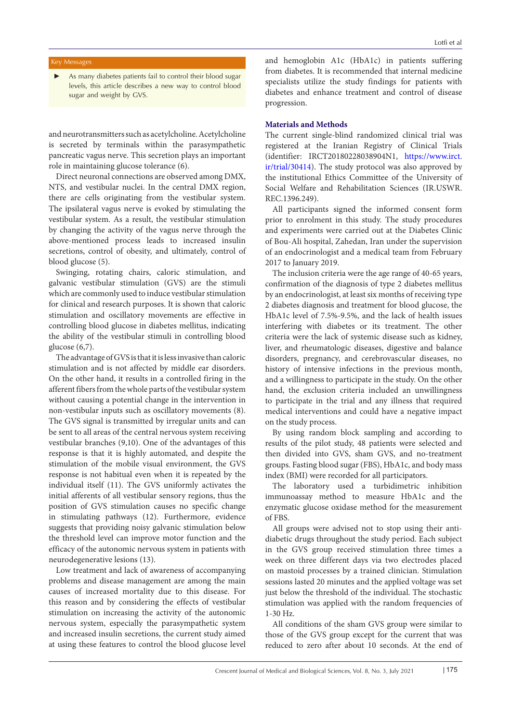# Key Messages

As many diabetes patients fail to control their blood sugar levels, this article describes a new way to control blood sugar and weight by GVS.

and neurotransmitters such as acetylcholine. Acetylcholine is secreted by terminals within the parasympathetic pancreatic vagus nerve. This secretion plays an important role in maintaining glucose tolerance (6).

Direct neuronal connections are observed among DMX, NTS, and vestibular nuclei. In the central DMX region, there are cells originating from the vestibular system. The ipsilateral vagus nerve is evoked by stimulating the vestibular system. As a result, the vestibular stimulation by changing the activity of the vagus nerve through the above-mentioned process leads to increased insulin secretions, control of obesity, and ultimately, control of blood glucose (5).

Swinging, rotating chairs, caloric stimulation, and galvanic vestibular stimulation (GVS) are the stimuli which are commonly used to induce vestibular stimulation for clinical and research purposes. It is shown that caloric stimulation and oscillatory movements are effective in controlling blood glucose in diabetes mellitus, indicating the ability of the vestibular stimuli in controlling blood glucose (6,7).

The advantage of GVS is that it is less invasive than caloric stimulation and is not affected by middle ear disorders. On the other hand, it results in a controlled firing in the afferent fibers from the whole parts of the vestibular system without causing a potential change in the intervention in non-vestibular inputs such as oscillatory movements (8). The GVS signal is transmitted by irregular units and can be sent to all areas of the central nervous system receiving vestibular branches (9,10). One of the advantages of this response is that it is highly automated, and despite the stimulation of the mobile visual environment, the GVS response is not habitual even when it is repeated by the individual itself (11). The GVS uniformly activates the initial afferents of all vestibular sensory regions, thus the position of GVS stimulation causes no specific change in stimulating pathways (12). Furthermore, evidence suggests that providing noisy galvanic stimulation below the threshold level can improve motor function and the efficacy of the autonomic nervous system in patients with neurodegenerative lesions (13).

Low treatment and lack of awareness of accompanying problems and disease management are among the main causes of increased mortality due to this disease. For this reason and by considering the effects of vestibular stimulation on increasing the activity of the autonomic nervous system, especially the parasympathetic system and increased insulin secretions, the current study aimed at using these features to control the blood glucose level

and hemoglobin A1c (HbA1c) in patients suffering from diabetes. It is recommended that internal medicine specialists utilize the study findings for patients with diabetes and enhance treatment and control of disease progression.

# **Materials and Methods**

The current single-blind randomized clinical trial was registered at the Iranian Registry of Clinical Trials (identifier: IRCT20180228038904N1, [https://www.irct.](https://www.irct.ir/trial/30414) [ir/trial/30414\)](https://www.irct.ir/trial/30414). The study protocol was also approved by the institutional Ethics Committee of the University of Social Welfare and Rehabilitation Sciences (IR.USWR. REC.1396.249).

All participants signed the informed consent form prior to enrolment in this study. The study procedures and experiments were carried out at the Diabetes Clinic of Bou-Ali hospital, Zahedan, Iran under the supervision of an endocrinologist and a medical team from February 2017 to January 2019.

The inclusion criteria were the age range of 40-65 years, confirmation of the diagnosis of type 2 diabetes mellitus by an endocrinologist, at least six months of receiving type 2 diabetes diagnosis and treatment for blood glucose, the HbA1c level of 7.5%-9.5%, and the lack of health issues interfering with diabetes or its treatment. The other criteria were the lack of systemic disease such as kidney, liver, and rheumatologic diseases, digestive and balance disorders, pregnancy, and cerebrovascular diseases, no history of intensive infections in the previous month, and a willingness to participate in the study. On the other hand, the exclusion criteria included an unwillingness to participate in the trial and any illness that required medical interventions and could have a negative impact on the study process.

By using random block sampling and according to results of the pilot study, 48 patients were selected and then divided into GVS, sham GVS, and no-treatment groups. Fasting blood sugar (FBS), HbA1c, and body mass index (BMI) were recorded for all participators.

The laboratory used a turbidimetric inhibition immunoassay method to measure HbA1c and the enzymatic glucose oxidase method for the measurement of FBS.

All groups were advised not to stop using their antidiabetic drugs throughout the study period. Each subject in the GVS group received stimulation three times a week on three different days via two electrodes placed on mastoid processes by a trained clinician. Stimulation sessions lasted 20 minutes and the applied voltage was set just below the threshold of the individual. The stochastic stimulation was applied with the random frequencies of 1-30 Hz.

All conditions of the sham GVS group were similar to those of the GVS group except for the current that was reduced to zero after about 10 seconds. At the end of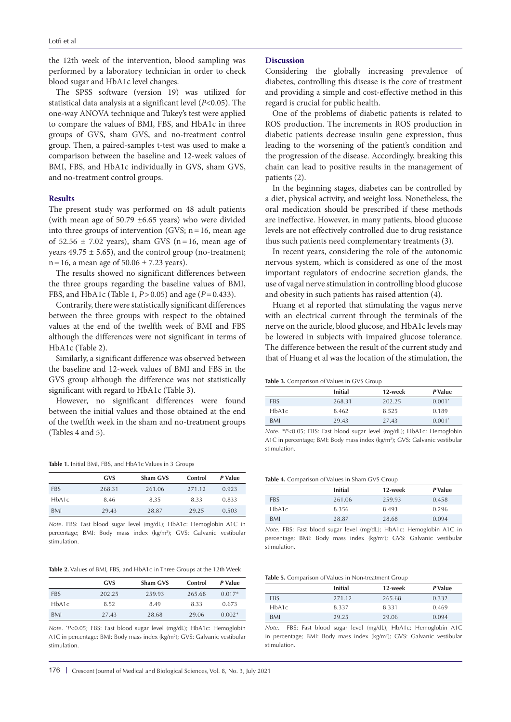the 12th week of the intervention, blood sampling was performed by a laboratory technician in order to check blood sugar and HbA1c level changes.

The SPSS software (version 19) was utilized for statistical data analysis at a significant level (*P*<0.05). The one-way ANOVA technique and Tukey's test were applied to compare the values of BMI, FBS, and HbA1c in three groups of GVS, sham GVS, and no-treatment control group. Then, a paired-samples t-test was used to make a comparison between the baseline and 12-week values of BMI, FBS, and HbA1c individually in GVS, sham GVS, and no-treatment control groups.

#### **Results**

The present study was performed on 48 adult patients (with mean age of 50.79 ±6.65 years) who were divided into three groups of intervention (GVS;  $n=16$ , mean age of  $52.56 \pm 7.02$  years), sham GVS (n=16, mean age of years  $49.75 \pm 5.65$ , and the control group (no-treatment;  $n=16$ , a mean age of  $50.06 \pm 7.23$  years).

The results showed no significant differences between the three groups regarding the baseline values of BMI, FBS, and HbA1c (Table 1, *P*>0.05) and age (*P*=0.433).

Contrarily, there were statistically significant differences between the three groups with respect to the obtained values at the end of the twelfth week of BMI and FBS although the differences were not significant in terms of HbA1c (Table 2).

Similarly, a significant difference was observed between the baseline and 12-week values of BMI and FBS in the GVS group although the difference was not statistically significant with regard to HbA1c (Table 3).

However, no significant differences were found between the initial values and those obtained at the end of the twelfth week in the sham and no-treatment groups (Tables 4 and 5).

**Table 1.** Initial BMI, FBS, and HbA1c Values in 3 Groups

|            | <b>GVS</b> | Sham GVS | Control | P Value |
|------------|------------|----------|---------|---------|
| <b>FBS</b> | 268.31     | 261.06   | 271.12  | 0.923   |
| HbA1c      | 8.46       | 8.35     | 8.33    | 0.833   |
| BMI        | 29.43      | 28.87    | 29.25   | 0.503   |

*Note*. FBS: Fast blood sugar level (mg/dL); HbA1c: Hemoglobin A1C in percentage; BMI: Body mass index (kg/m<sup>2</sup>); GVS: Galvanic vestibular stimulation.

**Table 2.** Values of BMI, FBS, and HbA1c in Three Groups at the 12th Week

|            | <b>GVS</b> | Sham GVS | Control | P Value  |
|------------|------------|----------|---------|----------|
| <b>FBS</b> | 202.25     | 259.93   | 265.68  | $0.017*$ |
| HbA1c      | 8.52       | 8.49     | 8.33    | 0.673    |
| BMI        | 27.43      | 28.68    | 29.06   | $0.002*$ |

*Note*. \* *P*<0.05; FBS: Fast blood sugar level (mg/dL); HbA1c: Hemoglobin A1C in percentage; BMI: Body mass index (kg/m2 ); GVS: Galvanic vestibular stimulation.

# **Discussion**

Considering the globally increasing prevalence of diabetes, controlling this disease is the core of treatment and providing a simple and cost-effective method in this regard is crucial for public health.

One of the problems of diabetic patients is related to ROS production. The increments in ROS production in diabetic patients decrease insulin gene expression, thus leading to the worsening of the patient's condition and the progression of the disease. Accordingly, breaking this chain can lead to positive results in the management of patients (2).

In the beginning stages, diabetes can be controlled by a diet, physical activity, and weight loss. Nonetheless, the oral medication should be prescribed if these methods are ineffective. However, in many patients, blood glucose levels are not effectively controlled due to drug resistance thus such patients need complementary treatments (3).

In recent years, considering the role of the autonomic nervous system, which is considered as one of the most important regulators of endocrine secretion glands, the use of vagal nerve stimulation in controlling blood glucose and obesity in such patients has raised attention (4).

Huang et al reported that stimulating the vagus nerve with an electrical current through the terminals of the nerve on the auricle, blood glucose, and HbA1c levels may be lowered in subjects with impaired glucose tolerance. The difference between the result of the current study and that of Huang et al was the location of the stimulation, the

**Table 3.** Comparison of Values in GVS Group

|            | <b>Initial</b> | 12-week | P Value  |
|------------|----------------|---------|----------|
| <b>FBS</b> | 268.31         | 202.25  | $0.001*$ |
| HbA1c      | 8.462          | 8.525   | 0.189    |
| <b>BMI</b> | 29.43          | 27.43   | $0.001*$ |

*Note*. \**P*<0.05; FBS: Fast blood sugar level (mg/dL); HbA1c: Hemoglobin A1C in percentage; BMI: Body mass index (kg/m<sup>2</sup>); GVS: Galvanic vestibular stimulation.

**Table 4.** Comparison of Values in Sham GVS Group

|            | <b>Initial</b> | 12-week | P Value |
|------------|----------------|---------|---------|
| <b>FBS</b> | 261.06         | 259.93  | 0.458   |
| HbA1c      | 8.356          | 8.493   | 0.296   |
| <b>BMI</b> | 28.87          | 28.68   | 0.094   |

*Note*. FBS: Fast blood sugar level (mg/dL); HbA1c: Hemoglobin A1C in percentage; BMI: Body mass index (kg/m<sup>2</sup>); GVS: Galvanic vestibular stimulation.

|  |  |  |  |  |  |  |  |  | <b>Table 5.</b> Comparison of Values in Non-treatment Group |
|--|--|--|--|--|--|--|--|--|-------------------------------------------------------------|
|--|--|--|--|--|--|--|--|--|-------------------------------------------------------------|

|            | <b>Initial</b> | 12-week | P Value |
|------------|----------------|---------|---------|
| <b>FBS</b> | 271.12         | 265.68  | 0.332   |
| HbA1c      | 8.337          | 8.331   | 0.469   |
| <b>BMI</b> | 29.25          | 29.06   | 0.094   |

*Note*. FBS: Fast blood sugar level (mg/dL); HbA1c: Hemoglobin A1C in percentage; BMI: Body mass index (kg/m<sup>2</sup>); GVS: Galvanic vestibular stimulation.

176 | Crescent Journal of Medical and Biological Sciences, Vol. 8, No. 3, July 2021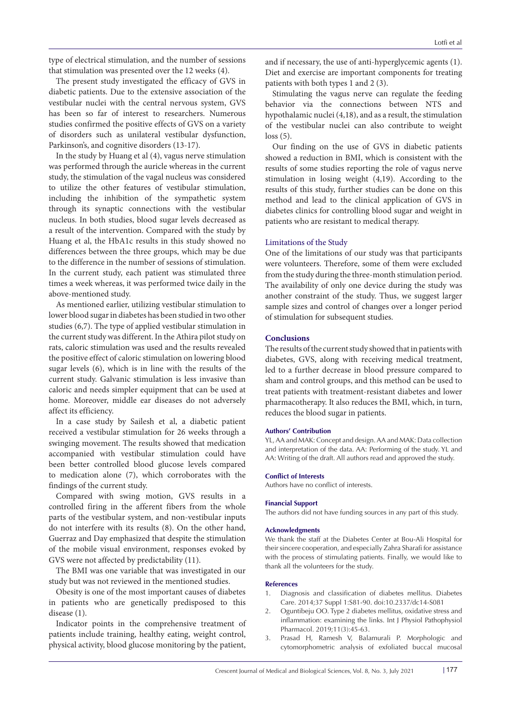type of electrical stimulation, and the number of sessions that stimulation was presented over the 12 weeks (4).

The present study investigated the efficacy of GVS in diabetic patients. Due to the extensive association of the vestibular nuclei with the central nervous system, GVS has been so far of interest to researchers. Numerous studies confirmed the positive effects of GVS on a variety of disorders such as unilateral vestibular dysfunction, Parkinson's, and cognitive disorders (13-17).

In the study by Huang et al (4), vagus nerve stimulation was performed through the auricle whereas in the current study, the stimulation of the vagal nucleus was considered to utilize the other features of vestibular stimulation, including the inhibition of the sympathetic system through its synaptic connections with the vestibular nucleus. In both studies, blood sugar levels decreased as a result of the intervention. Compared with the study by Huang et al, the HbA1c results in this study showed no differences between the three groups, which may be due to the difference in the number of sessions of stimulation. In the current study, each patient was stimulated three times a week whereas, it was performed twice daily in the above-mentioned study.

As mentioned earlier, utilizing vestibular stimulation to lower blood sugar in diabetes has been studied in two other studies (6,7). The type of applied vestibular stimulation in the current study was different. In the Athira pilot study on rats, caloric stimulation was used and the results revealed the positive effect of caloric stimulation on lowering blood sugar levels (6), which is in line with the results of the current study. Galvanic stimulation is less invasive than caloric and needs simpler equipment that can be used at home. Moreover, middle ear diseases do not adversely affect its efficiency.

In a case study by Sailesh et al, a diabetic patient received a vestibular stimulation for 26 weeks through a swinging movement. The results showed that medication accompanied with vestibular stimulation could have been better controlled blood glucose levels compared to medication alone (7), which corroborates with the findings of the current study.

Compared with swing motion, GVS results in a controlled firing in the afferent fibers from the whole parts of the vestibular system, and non-vestibular inputs do not interfere with its results (8). On the other hand, Guerraz and Day emphasized that despite the stimulation of the mobile visual environment, responses evoked by GVS were not affected by predictability (11).

The BMI was one variable that was investigated in our study but was not reviewed in the mentioned studies.

Obesity is one of the most important causes of diabetes in patients who are genetically predisposed to this disease (1).

Indicator points in the comprehensive treatment of patients include training, healthy eating, weight control, physical activity, blood glucose monitoring by the patient,

and if necessary, the use of anti-hyperglycemic agents (1). Diet and exercise are important components for treating patients with both types 1 and 2 (3).

Stimulating the vagus nerve can regulate the feeding behavior via the connections between NTS and hypothalamic nuclei (4,18), and as a result, the stimulation of the vestibular nuclei can also contribute to weight loss (5).

Our finding on the use of GVS in diabetic patients showed a reduction in BMI, which is consistent with the results of some studies reporting the role of vagus nerve stimulation in losing weight (4,19). According to the results of this study, further studies can be done on this method and lead to the clinical application of GVS in diabetes clinics for controlling blood sugar and weight in patients who are resistant to medical therapy.

# Limitations of the Study

One of the limitations of our study was that participants were volunteers. Therefore, some of them were excluded from the study during the three-month stimulation period. The availability of only one device during the study was another constraint of the study. Thus, we suggest larger sample sizes and control of changes over a longer period of stimulation for subsequent studies.

## **Conclusions**

The results of the current study showed that in patients with diabetes, GVS, along with receiving medical treatment, led to a further decrease in blood pressure compared to sham and control groups, and this method can be used to treat patients with treatment-resistant diabetes and lower pharmacotherapy. It also reduces the BMI, which, in turn, reduces the blood sugar in patients.

#### **Authors' Contribution**

YL, AA and MAK: Concept and design. AA and MAK: Data collection and interpretation of the data. AA: Performing of the study. YL and AA: Writing of the draft. All authors read and approved the study.

#### **Conflict of Interests**

Authors have no conflict of interests.

#### **Financial Support**

The authors did not have funding sources in any part of this study.

#### **Acknowledgments**

We thank the staff at the Diabetes Center at Bou-Ali Hospital for their sincere cooperation, and especially Zahra Sharafi for assistance with the process of stimulating patients. Finally, we would like to thank all the volunteers for the study.

#### **References**

- 1. Diagnosis and classification of diabetes mellitus. Diabetes Care. 2014;37 Suppl 1:S81-90. doi:10.2337/dc14-S081
- 2. Oguntibeju OO. Type 2 diabetes mellitus, oxidative stress and inflammation: examining the links. Int J Physiol Pathophysiol Pharmacol. 2019;11(3):45-63.
- Prasad H, Ramesh V, Balamurali P. Morphologic and cytomorphometric analysis of exfoliated buccal mucosal